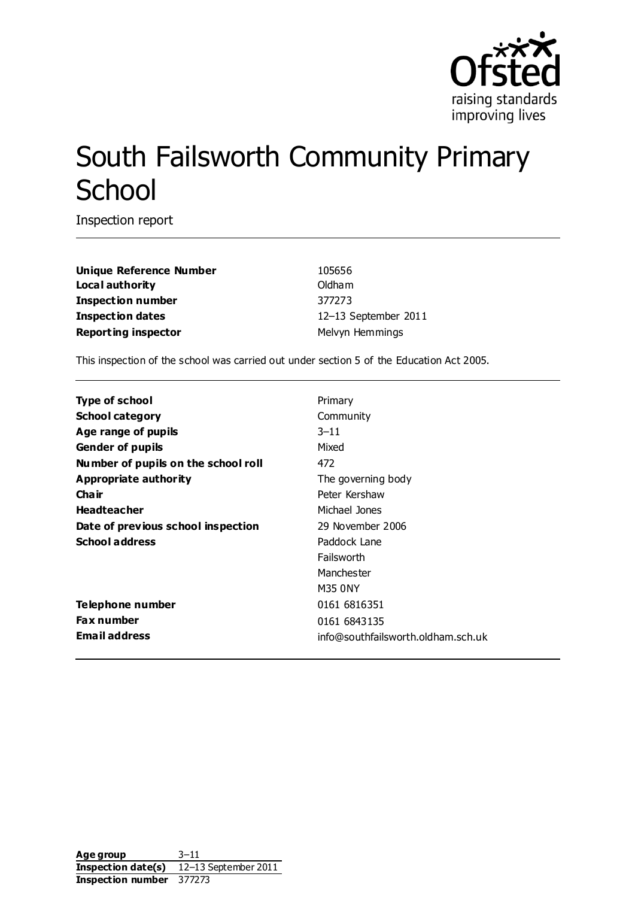

# South Failsworth Community Primary **School**

Inspection report

**Unique Reference Number** 105656 **Local authority Contract Contract Contract Contract Contract Contract Contract Contract Contract Contract Contract Contract Contract Contract Contract Contract Contract Contract Contract Contract Contract Contract Contr Inspection number** 377273 **Inspection dates** 12–13 September 2011 **Reporting inspector** Melvyn Hemmings

This inspection of the school was carried out under section 5 of the Education Act 2005.

| Type of school                      | Primary                            |
|-------------------------------------|------------------------------------|
| <b>School category</b>              | Community                          |
| Age range of pupils                 | $3 - 11$                           |
| <b>Gender of pupils</b>             | Mixed                              |
| Number of pupils on the school roll | 472                                |
| Appropriate authority               | The governing body                 |
| Cha ir                              | Peter Kershaw                      |
| <b>Headteacher</b>                  | Michael Jones                      |
| Date of previous school inspection  | 29 November 2006                   |
| <b>School address</b>               | Paddock Lane                       |
|                                     | Failsworth                         |
|                                     | Manchester                         |
|                                     | M35 0NY                            |
| Telephone number                    | 0161 6816351                       |
| <b>Fax number</b>                   | 0161 6843135                       |
| <b>Email address</b>                | info@southfailsworth.oldham.sch.uk |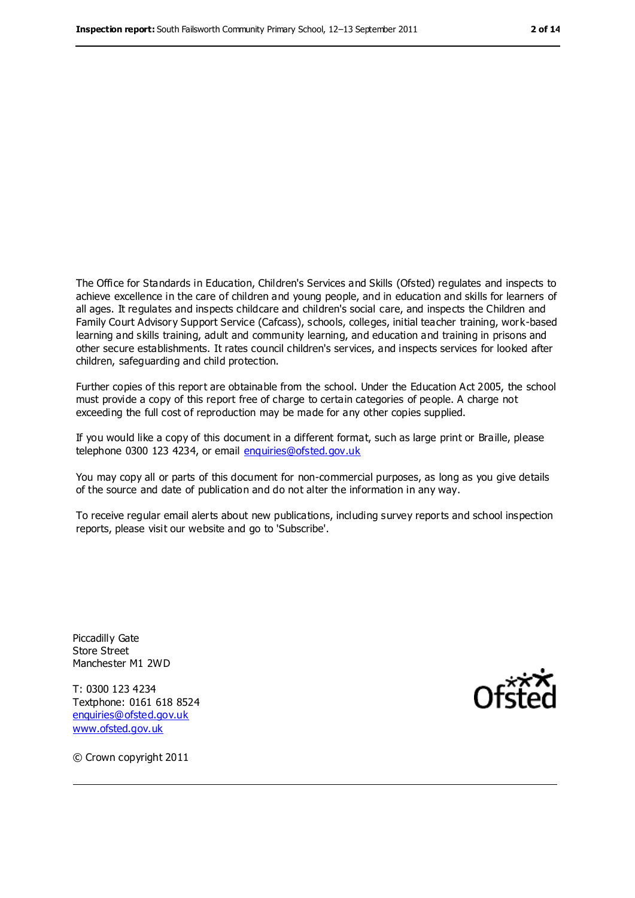The Office for Standards in Education, Children's Services and Skills (Ofsted) regulates and inspects to achieve excellence in the care of children and young people, and in education and skills for learners of all ages. It regulates and inspects childcare and children's social care, and inspects the Children and Family Court Advisory Support Service (Cafcass), schools, colleges, initial teacher training, work-based learning and skills training, adult and community learning, and education and training in prisons and other secure establishments. It rates council children's services, and inspects services for looked after children, safeguarding and child protection.

Further copies of this report are obtainable from the school. Under the Education Act 2005, the school must provide a copy of this report free of charge to certain categories of people. A charge not exceeding the full cost of reproduction may be made for any other copies supplied.

If you would like a copy of this document in a different format, such as large print or Braille, please telephone 0300 123 4234, or email [enquiries@ofsted.gov.uk](mailto:enquiries@ofsted.gov.uk)

You may copy all or parts of this document for non-commercial purposes, as long as you give details of the source and date of publication and do not alter the information in any way.

To receive regular email alerts about new publications, including survey reports and school inspection reports, please visit our website and go to 'Subscribe'.

Piccadilly Gate Store Street Manchester M1 2WD

T: 0300 123 4234 Textphone: 0161 618 8524 [enquiries@ofsted.gov.uk](mailto:enquiries@ofsted.gov.uk) [www.ofsted.gov.uk](http://www.ofsted.gov.uk/)



© Crown copyright 2011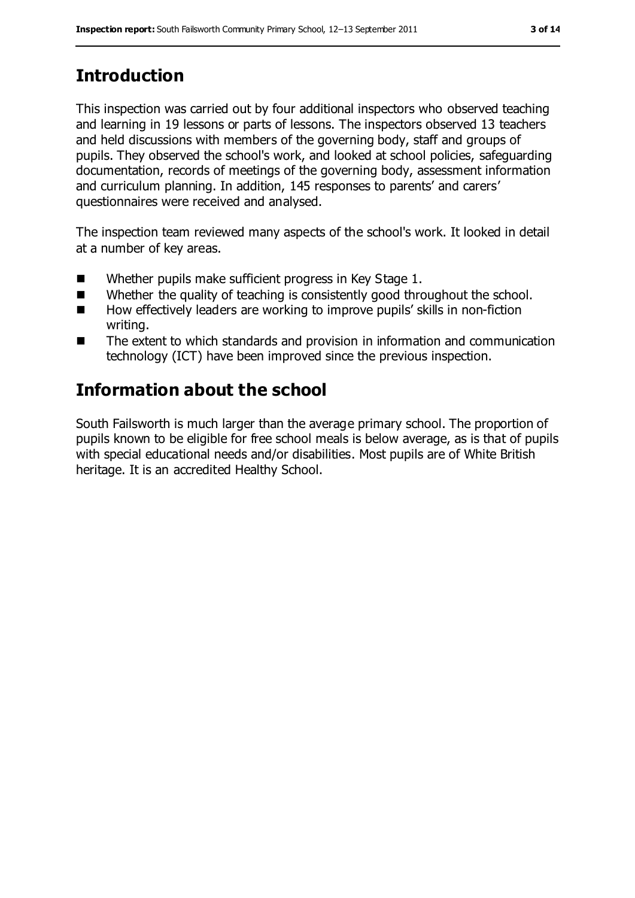# **Introduction**

This inspection was carried out by four additional inspectors who observed teaching and learning in 19 lessons or parts of lessons. The inspectors observed 13 teachers and held discussions with members of the governing body, staff and groups of pupils. They observed the school's work, and looked at school policies, safeguarding documentation, records of meetings of the governing body, assessment information and curriculum planning. In addition, 145 responses to parents' and carers' questionnaires were received and analysed.

The inspection team reviewed many aspects of the school's work. It looked in detail at a number of key areas.

- Whether pupils make sufficient progress in Key Stage 1.
- Whether the quality of teaching is consistently good throughout the school.
- How effectively leaders are working to improve pupils' skills in non-fiction writing.
- The extent to which standards and provision in information and communication technology (ICT) have been improved since the previous inspection.

# **Information about the school**

South Failsworth is much larger than the average primary school. The proportion of pupils known to be eligible for free school meals is below average, as is that of pupils with special educational needs and/or disabilities. Most pupils are of White British heritage. It is an accredited Healthy School.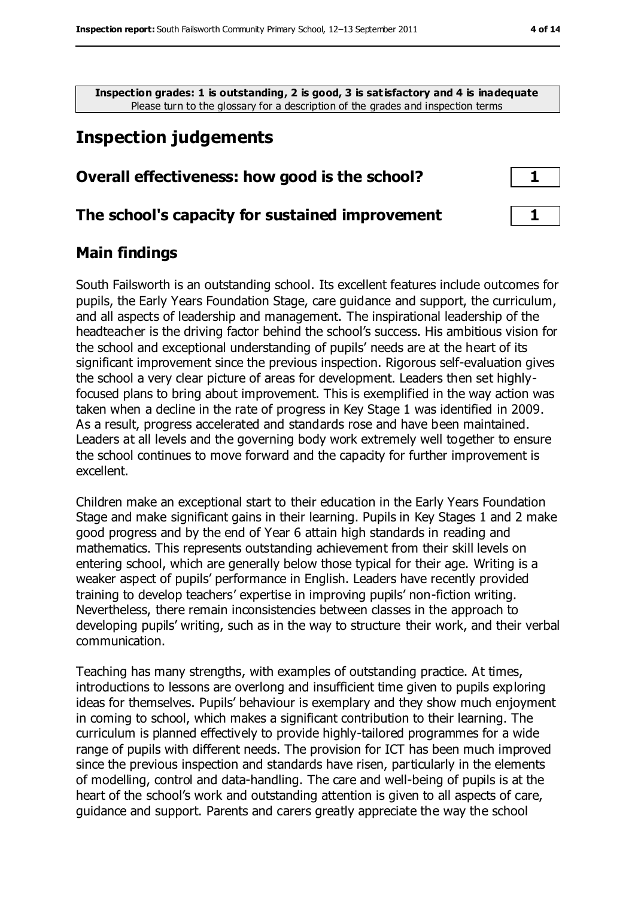**Inspection grades: 1 is outstanding, 2 is good, 3 is satisfactory and 4 is inadequate** Please turn to the glossary for a description of the grades and inspection terms

# **Inspection judgements**

#### **Overall effectiveness: how good is the school? 1**

#### **The school's capacity for sustained improvement 1**

#### **Main findings**

South Failsworth is an outstanding school. Its excellent features include outcomes for pupils, the Early Years Foundation Stage, care guidance and support, the curriculum, and all aspects of leadership and management. The inspirational leadership of the headteacher is the driving factor behind the school's success. His ambitious vision for the school and exceptional understanding of pupils' needs are at the heart of its significant improvement since the previous inspection. Rigorous self-evaluation gives the school a very clear picture of areas for development. Leaders then set highlyfocused plans to bring about improvement. This is exemplified in the way action was taken when a decline in the rate of progress in Key Stage 1 was identified in 2009. As a result, progress accelerated and standards rose and have been maintained. Leaders at all levels and the governing body work extremely well together to ensure the school continues to move forward and the capacity for further improvement is excellent.

Children make an exceptional start to their education in the Early Years Foundation Stage and make significant gains in their learning. Pupils in Key Stages 1 and 2 make good progress and by the end of Year 6 attain high standards in reading and mathematics. This represents outstanding achievement from their skill levels on entering school, which are generally below those typical for their age. Writing is a weaker aspect of pupils' performance in English. Leaders have recently provided training to develop teachers' expertise in improving pupils' non-fiction writing. Nevertheless, there remain inconsistencies between classes in the approach to developing pupils' writing, such as in the way to structure their work, and their verbal communication.

Teaching has many strengths, with examples of outstanding practice. At times, introductions to lessons are overlong and insufficient time given to pupils exploring ideas for themselves. Pupils' behaviour is exemplary and they show much enjoyment in coming to school, which makes a significant contribution to their learning. The curriculum is planned effectively to provide highly-tailored programmes for a wide range of pupils with different needs. The provision for ICT has been much improved since the previous inspection and standards have risen, particularly in the elements of modelling, control and data-handling. The care and well-being of pupils is at the heart of the school's work and outstanding attention is given to all aspects of care, guidance and support. Parents and carers greatly appreciate the way the school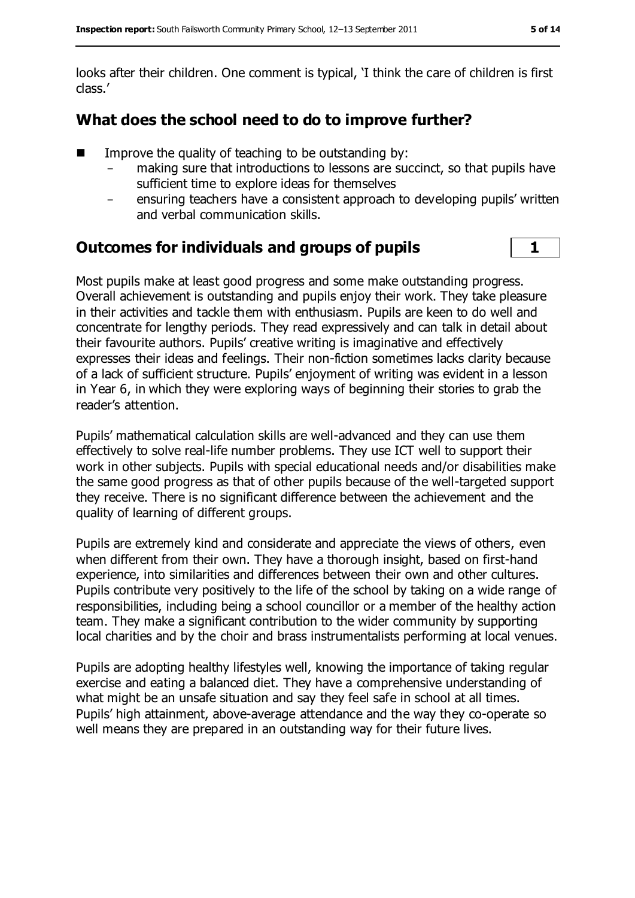looks after their children. One comment is typical, 'I think the care of children is first class.'

## **What does the school need to do to improve further?**

- Improve the quality of teaching to be outstanding by:
	- making sure that introductions to lessons are succinct, so that pupils have sufficient time to explore ideas for themselves
	- ensuring teachers have a consistent approach to developing pupils' written and verbal communication skills.

## **Outcomes for individuals and groups of pupils 1**

Most pupils make at least good progress and some make outstanding progress. Overall achievement is outstanding and pupils enjoy their work. They take pleasure in their activities and tackle them with enthusiasm. Pupils are keen to do well and concentrate for lengthy periods. They read expressively and can talk in detail about their favourite authors. Pupils' creative writing is imaginative and effectively expresses their ideas and feelings. Their non-fiction sometimes lacks clarity because of a lack of sufficient structure. Pupils' enjoyment of writing was evident in a lesson in Year 6, in which they were exploring ways of beginning their stories to grab the reader's attention.

Pupils' mathematical calculation skills are well-advanced and they can use them effectively to solve real-life number problems. They use ICT well to support their work in other subjects. Pupils with special educational needs and/or disabilities make the same good progress as that of other pupils because of the well-targeted support they receive. There is no significant difference between the achievement and the quality of learning of different groups.

Pupils are extremely kind and considerate and appreciate the views of others, even when different from their own. They have a thorough insight, based on first-hand experience, into similarities and differences between their own and other cultures. Pupils contribute very positively to the life of the school by taking on a wide range of responsibilities, including being a school councillor or a member of the healthy action team. They make a significant contribution to the wider community by supporting local charities and by the choir and brass instrumentalists performing at local venues.

Pupils are adopting healthy lifestyles well, knowing the importance of taking regular exercise and eating a balanced diet. They have a comprehensive understanding of what might be an unsafe situation and say they feel safe in school at all times. Pupils' high attainment, above-average attendance and the way they co-operate so well means they are prepared in an outstanding way for their future lives.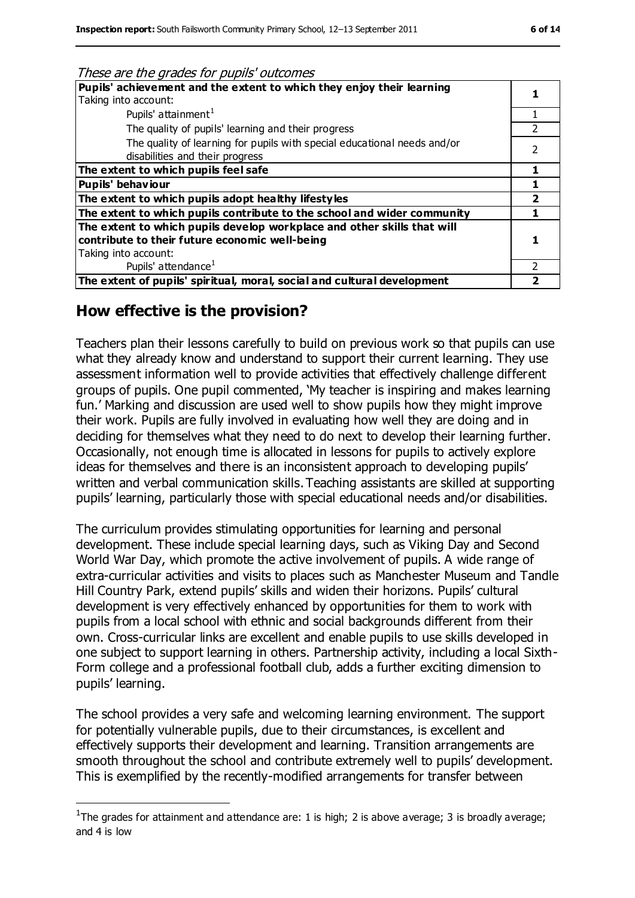| These are the grades for pupils outcomes                                                                    |               |
|-------------------------------------------------------------------------------------------------------------|---------------|
| Pupils' achievement and the extent to which they enjoy their learning                                       |               |
| Taking into account:                                                                                        |               |
| Pupils' attainment <sup>1</sup>                                                                             |               |
| The quality of pupils' learning and their progress                                                          |               |
| The quality of learning for pupils with special educational needs and/or<br>disabilities and their progress | $\mathcal{P}$ |
| The extent to which pupils feel safe                                                                        |               |
| <b>Pupils' behaviour</b>                                                                                    |               |
| The extent to which pupils adopt healthy lifestyles                                                         |               |
| The extent to which pupils contribute to the school and wider community                                     |               |
| The extent to which pupils develop workplace and other skills that will                                     |               |
| contribute to their future economic well-being                                                              |               |
| Taking into account:                                                                                        |               |
| Pupils' attendance <sup>1</sup>                                                                             |               |
| The extent of pupils' spiritual, moral, social and cultural development                                     |               |

#### **How effective is the provision?**

 $\overline{a}$ 

These are the grades for pupils' outcomes

Teachers plan their lessons carefully to build on previous work so that pupils can use what they already know and understand to support their current learning. They use assessment information well to provide activities that effectively challenge different groups of pupils. One pupil commented, 'My teacher is inspiring and makes learning fun.' Marking and discussion are used well to show pupils how they might improve their work. Pupils are fully involved in evaluating how well they are doing and in deciding for themselves what they need to do next to develop their learning further. Occasionally, not enough time is allocated in lessons for pupils to actively explore ideas for themselves and there is an inconsistent approach to developing pupils' written and verbal communication skills.Teaching assistants are skilled at supporting pupils' learning, particularly those with special educational needs and/or disabilities.

The curriculum provides stimulating opportunities for learning and personal development. These include special learning days, such as Viking Day and Second World War Day, which promote the active involvement of pupils. A wide range of extra-curricular activities and visits to places such as Manchester Museum and Tandle Hill Country Park, extend pupils' skills and widen their horizons. Pupils' cultural development is very effectively enhanced by opportunities for them to work with pupils from a local school with ethnic and social backgrounds different from their own. Cross-curricular links are excellent and enable pupils to use skills developed in one subject to support learning in others. Partnership activity, including a local Sixth-Form college and a professional football club, adds a further exciting dimension to pupils' learning.

The school provides a very safe and welcoming learning environment. The support for potentially vulnerable pupils, due to their circumstances, is excellent and effectively supports their development and learning. Transition arrangements are smooth throughout the school and contribute extremely well to pupils' development. This is exemplified by the recently-modified arrangements for transfer between

<sup>&</sup>lt;sup>1</sup>The grades for attainment and attendance are: 1 is high; 2 is above average; 3 is broadly average; and 4 is low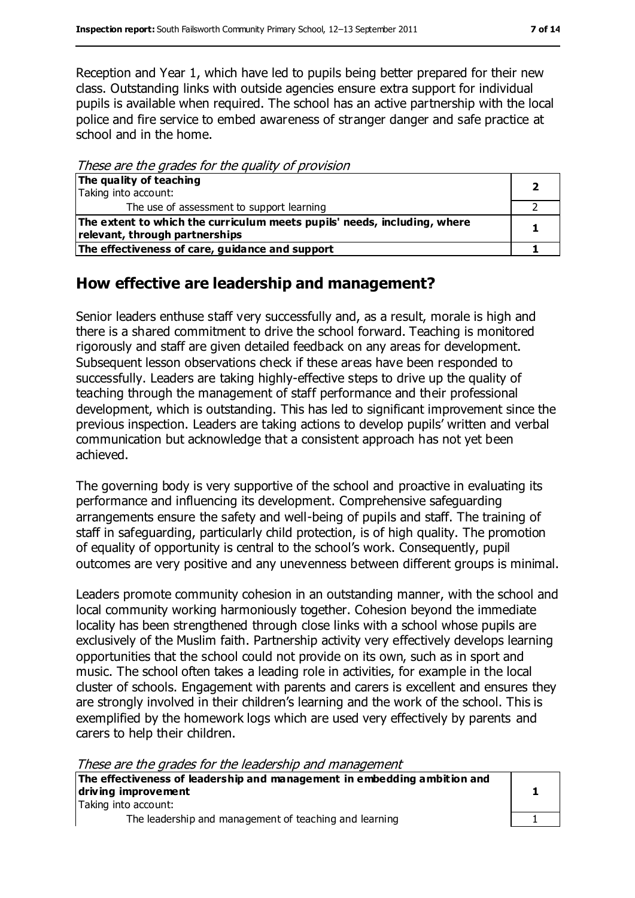Reception and Year 1, which have led to pupils being better prepared for their new class. Outstanding links with outside agencies ensure extra support for individual pupils is available when required. The school has an active partnership with the local police and fire service to embed awareness of stranger danger and safe practice at school and in the home.

These are the grades for the quality of provision

| The quality of teaching                                                  |  |
|--------------------------------------------------------------------------|--|
| Taking into account:                                                     |  |
| The use of assessment to support learning                                |  |
| The extent to which the curriculum meets pupils' needs, including, where |  |
| relevant, through partnerships                                           |  |
| The effectiveness of care, guidance and support                          |  |

## **How effective are leadership and management?**

Senior leaders enthuse staff very successfully and, as a result, morale is high and there is a shared commitment to drive the school forward. Teaching is monitored rigorously and staff are given detailed feedback on any areas for development. Subsequent lesson observations check if these areas have been responded to successfully. Leaders are taking highly-effective steps to drive up the quality of teaching through the management of staff performance and their professional development, which is outstanding. This has led to significant improvement since the previous inspection. Leaders are taking actions to develop pupils' written and verbal communication but acknowledge that a consistent approach has not yet been achieved.

The governing body is very supportive of the school and proactive in evaluating its performance and influencing its development. Comprehensive safeguarding arrangements ensure the safety and well-being of pupils and staff. The training of staff in safeguarding, particularly child protection, is of high quality. The promotion of equality of opportunity is central to the school's work. Consequently, pupil outcomes are very positive and any unevenness between different groups is minimal.

Leaders promote community cohesion in an outstanding manner, with the school and local community working harmoniously together. Cohesion beyond the immediate locality has been strengthened through close links with a school whose pupils are exclusively of the Muslim faith. Partnership activity very effectively develops learning opportunities that the school could not provide on its own, such as in sport and music. The school often takes a leading role in activities, for example in the local cluster of schools. Engagement with parents and carers is excellent and ensures they are strongly involved in their children's learning and the work of the school. This is exemplified by the homework logs which are used very effectively by parents and carers to help their children.

These are the grades for the leadership and management

| The effectiveness of leadership and management in embedding ambition and |  |
|--------------------------------------------------------------------------|--|
| driving improvement                                                      |  |
| Taking into account:                                                     |  |
| The leadership and management of teaching and learning                   |  |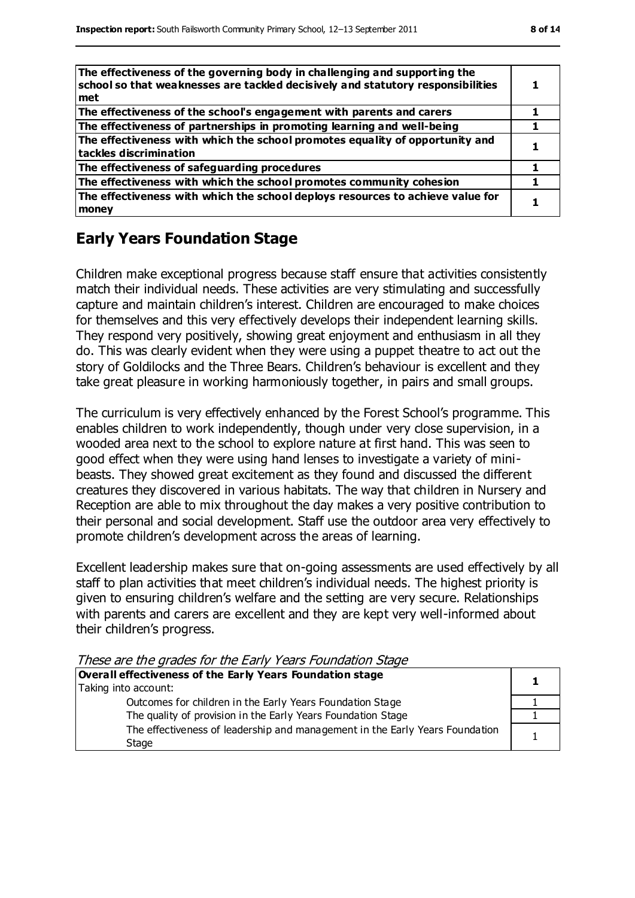| The effectiveness of the governing body in challenging and supporting the<br>school so that weaknesses are tackled decisively and statutory responsibilities<br>met |  |
|---------------------------------------------------------------------------------------------------------------------------------------------------------------------|--|
| The effectiveness of the school's engagement with parents and carers                                                                                                |  |
| The effectiveness of partnerships in promoting learning and well-being                                                                                              |  |
| The effectiveness with which the school promotes equality of opportunity and<br>tackles discrimination                                                              |  |
| The effectiveness of safeguarding procedures                                                                                                                        |  |
| The effectiveness with which the school promotes community cohesion                                                                                                 |  |
| The effectiveness with which the school deploys resources to achieve value for<br>money                                                                             |  |

### **Early Years Foundation Stage**

Children make exceptional progress because staff ensure that activities consistently match their individual needs. These activities are very stimulating and successfully capture and maintain children's interest. Children are encouraged to make choices for themselves and this very effectively develops their independent learning skills. They respond very positively, showing great enjoyment and enthusiasm in all they do. This was clearly evident when they were using a puppet theatre to act out the story of Goldilocks and the Three Bears. Children's behaviour is excellent and they take great pleasure in working harmoniously together, in pairs and small groups.

The curriculum is very effectively enhanced by the Forest School's programme. This enables children to work independently, though under very close supervision, in a wooded area next to the school to explore nature at first hand. This was seen to good effect when they were using hand lenses to investigate a variety of minibeasts. They showed great excitement as they found and discussed the different creatures they discovered in various habitats. The way that children in Nursery and Reception are able to mix throughout the day makes a very positive contribution to their personal and social development. Staff use the outdoor area very effectively to promote children's development across the areas of learning.

Excellent leadership makes sure that on-going assessments are used effectively by all staff to plan activities that meet children's individual needs. The highest priority is given to ensuring children's welfare and the setting are very secure. Relationships with parents and carers are excellent and they are kept very well-informed about their children's progress.

These are the grades for the Early Years Foundation Stage

| Overall effectiveness of the Early Years Foundation stage                             |  |
|---------------------------------------------------------------------------------------|--|
| Taking into account:                                                                  |  |
| Outcomes for children in the Early Years Foundation Stage                             |  |
| The quality of provision in the Early Years Foundation Stage                          |  |
| The effectiveness of leadership and management in the Early Years Foundation<br>Stage |  |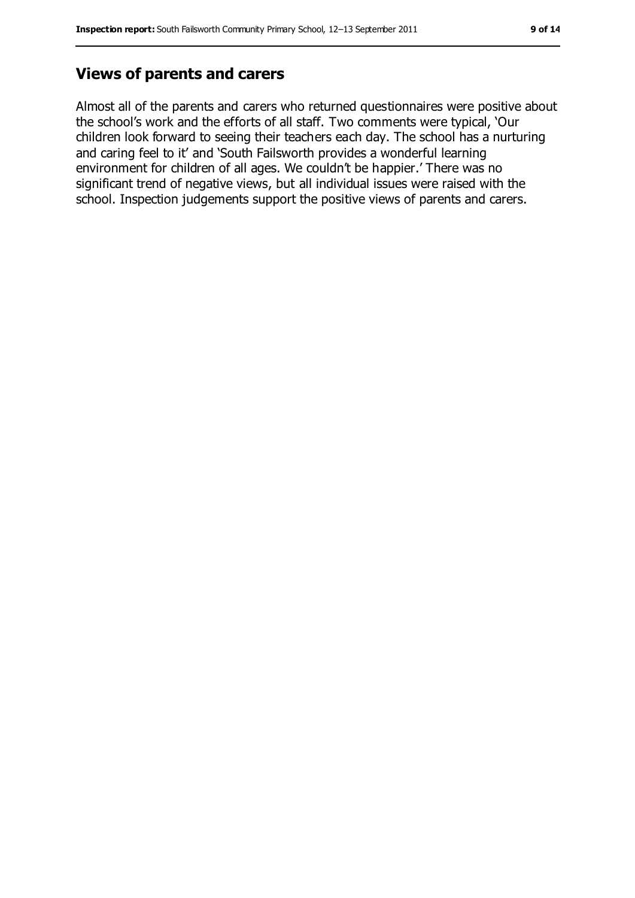#### **Views of parents and carers**

Almost all of the parents and carers who returned questionnaires were positive about the school's work and the efforts of all staff. Two comments were typical, 'Our children look forward to seeing their teachers each day. The school has a nurturing and caring feel to it' and 'South Failsworth provides a wonderful learning environment for children of all ages. We couldn't be happier.' There was no significant trend of negative views, but all individual issues were raised with the school. Inspection judgements support the positive views of parents and carers.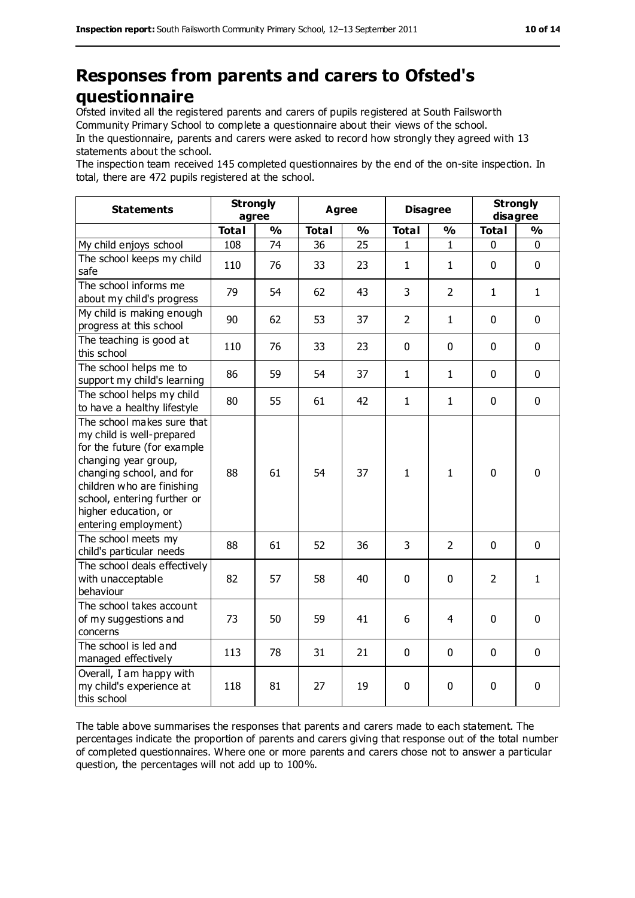# **Responses from parents and carers to Ofsted's questionnaire**

Ofsted invited all the registered parents and carers of pupils registered at South Failsworth Community Primary School to complete a questionnaire about their views of the school. In the questionnaire, parents and carers were asked to record how strongly they agreed with 13 statements about the school.

The inspection team received 145 completed questionnaires by the end of the on-site inspection. In total, there are 472 pupils registered at the school.

| <b>Statements</b>                                                                                                                                                                                                                                       | <b>Strongly</b><br>agree |               | Agree        |               | <b>Disagree</b> |                | <b>Strongly</b><br>disagree |               |
|---------------------------------------------------------------------------------------------------------------------------------------------------------------------------------------------------------------------------------------------------------|--------------------------|---------------|--------------|---------------|-----------------|----------------|-----------------------------|---------------|
|                                                                                                                                                                                                                                                         | <b>Total</b>             | $\frac{1}{2}$ | <b>Total</b> | $\frac{1}{2}$ | <b>Total</b>    | $\frac{1}{2}$  | <b>Total</b>                | $\frac{1}{2}$ |
| My child enjoys school                                                                                                                                                                                                                                  | 108                      | 74            | 36           | 25            | 1               | 1              | 0                           | 0             |
| The school keeps my child<br>safe                                                                                                                                                                                                                       | 110                      | 76            | 33           | 23            | $\mathbf{1}$    | $\mathbf{1}$   | $\mathbf 0$                 | 0             |
| The school informs me<br>about my child's progress                                                                                                                                                                                                      | 79                       | 54            | 62           | 43            | 3               | $\overline{2}$ | $\mathbf{1}$                | $\mathbf{1}$  |
| My child is making enough<br>progress at this school                                                                                                                                                                                                    | 90                       | 62            | 53           | 37            | $\overline{2}$  | $\mathbf{1}$   | $\mathbf 0$                 | 0             |
| The teaching is good at<br>this school                                                                                                                                                                                                                  | 110                      | 76            | 33           | 23            | 0               | $\mathbf 0$    | $\mathbf 0$                 | 0             |
| The school helps me to<br>support my child's learning                                                                                                                                                                                                   | 86                       | 59            | 54           | 37            | $\mathbf{1}$    | $\mathbf{1}$   | $\mathbf 0$                 | 0             |
| The school helps my child<br>to have a healthy lifestyle                                                                                                                                                                                                | 80                       | 55            | 61           | 42            | $\mathbf{1}$    | $\mathbf{1}$   | $\mathbf 0$                 | 0             |
| The school makes sure that<br>my child is well-prepared<br>for the future (for example<br>changing year group,<br>changing school, and for<br>children who are finishing<br>school, entering further or<br>higher education, or<br>entering employment) | 88                       | 61            | 54           | 37            | $\mathbf{1}$    | $\mathbf{1}$   | $\mathbf 0$                 | $\mathbf 0$   |
| The school meets my<br>child's particular needs                                                                                                                                                                                                         | 88                       | 61            | 52           | 36            | 3               | $\overline{2}$ | $\mathbf 0$                 | 0             |
| The school deals effectively<br>with unacceptable<br>behaviour                                                                                                                                                                                          | 82                       | 57            | 58           | 40            | 0               | $\mathbf 0$    | $\overline{2}$              | $\mathbf{1}$  |
| The school takes account<br>of my suggestions and<br>concerns                                                                                                                                                                                           | 73                       | 50            | 59           | 41            | 6               | 4              | $\mathbf 0$                 | $\mathbf 0$   |
| The school is led and<br>managed effectively                                                                                                                                                                                                            | 113                      | 78            | 31           | 21            | 0               | $\mathbf 0$    | $\mathbf 0$                 | 0             |
| Overall, I am happy with<br>my child's experience at<br>this school                                                                                                                                                                                     | 118                      | 81            | 27           | 19            | 0               | 0              | $\mathbf 0$                 | 0             |

The table above summarises the responses that parents and carers made to each statement. The percentages indicate the proportion of parents and carers giving that response out of the total number of completed questionnaires. Where one or more parents and carers chose not to answer a particular question, the percentages will not add up to 100%.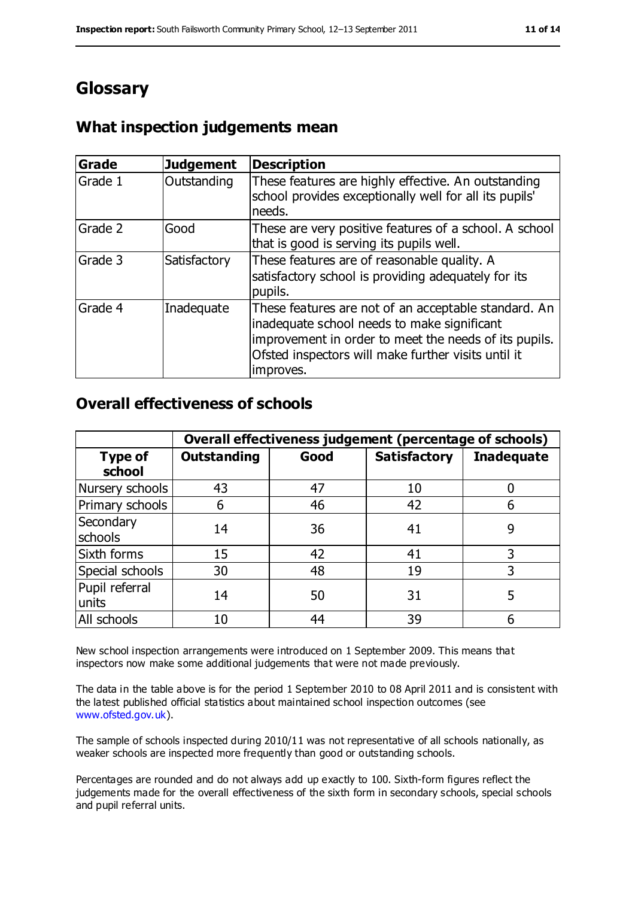# **Glossary**

## **What inspection judgements mean**

| Grade   | <b>Judgement</b> | <b>Description</b>                                                                                                                                                                                                               |
|---------|------------------|----------------------------------------------------------------------------------------------------------------------------------------------------------------------------------------------------------------------------------|
| Grade 1 | Outstanding      | These features are highly effective. An outstanding<br>school provides exceptionally well for all its pupils'<br>needs.                                                                                                          |
| Grade 2 | Good             | These are very positive features of a school. A school<br>that is good is serving its pupils well.                                                                                                                               |
| Grade 3 | Satisfactory     | These features are of reasonable quality. A<br>satisfactory school is providing adequately for its<br>pupils.                                                                                                                    |
| Grade 4 | Inadequate       | These features are not of an acceptable standard. An<br>inadequate school needs to make significant<br>improvement in order to meet the needs of its pupils.<br>Ofsted inspectors will make further visits until it<br>improves. |

#### **Overall effectiveness of schools**

|                          | Overall effectiveness judgement (percentage of schools) |      |                     |                   |
|--------------------------|---------------------------------------------------------|------|---------------------|-------------------|
| <b>Type of</b><br>school | <b>Outstanding</b>                                      | Good | <b>Satisfactory</b> | <b>Inadequate</b> |
| Nursery schools          | 43                                                      | 47   | 10                  |                   |
| Primary schools          | 6                                                       | 46   | 42                  |                   |
| Secondary<br>schools     | 14                                                      | 36   | 41                  | 9                 |
| Sixth forms              | 15                                                      | 42   | 41                  | 3                 |
| Special schools          | 30                                                      | 48   | 19                  |                   |
| Pupil referral<br>units  | 14                                                      | 50   | 31                  | 5                 |
| All schools              | 10                                                      | 44   | 39                  |                   |

New school inspection arrangements were introduced on 1 September 2009. This means that inspectors now make some additional judgements that were not made previously.

The data in the table above is for the period 1 September 2010 to 08 April 2011 and is consistent with the latest published official statistics about maintained school inspection outcomes (see [www.ofsted.gov.uk\)](http://www.ofsted.gov.uk/).

The sample of schools inspected during 2010/11 was not representative of all schools nationally, as weaker schools are inspected more frequently than good or outstanding schools.

Percentages are rounded and do not always add up exactly to 100. Sixth-form figures reflect the judgements made for the overall effectiveness of the sixth form in secondary schools, special schools and pupil referral units.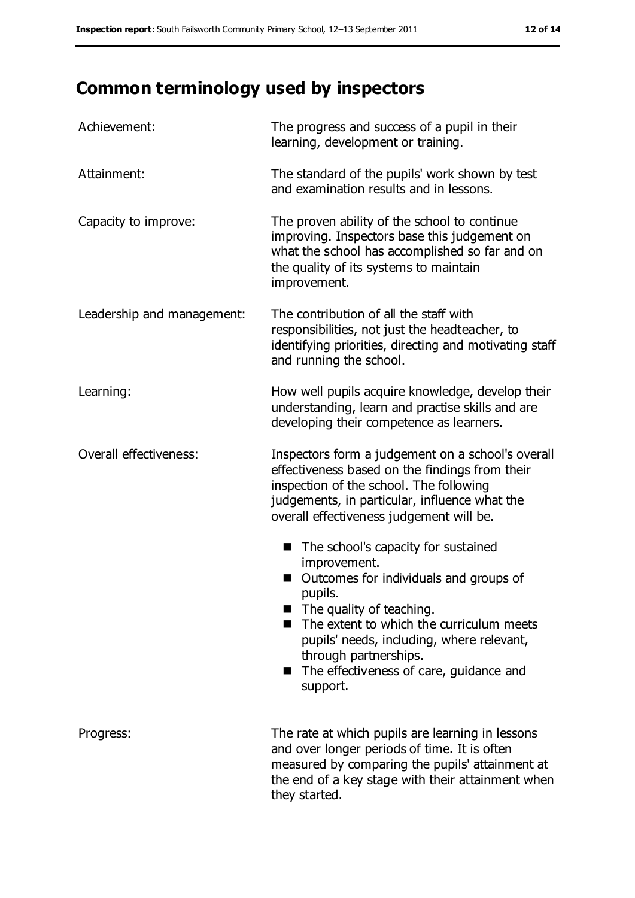# **Common terminology used by inspectors**

| Achievement:               | The progress and success of a pupil in their<br>learning, development or training.                                                                                                                                                                                                                                                                  |
|----------------------------|-----------------------------------------------------------------------------------------------------------------------------------------------------------------------------------------------------------------------------------------------------------------------------------------------------------------------------------------------------|
| Attainment:                | The standard of the pupils' work shown by test<br>and examination results and in lessons.                                                                                                                                                                                                                                                           |
| Capacity to improve:       | The proven ability of the school to continue<br>improving. Inspectors base this judgement on<br>what the school has accomplished so far and on<br>the quality of its systems to maintain<br>improvement.                                                                                                                                            |
| Leadership and management: | The contribution of all the staff with<br>responsibilities, not just the headteacher, to<br>identifying priorities, directing and motivating staff<br>and running the school.                                                                                                                                                                       |
| Learning:                  | How well pupils acquire knowledge, develop their<br>understanding, learn and practise skills and are<br>developing their competence as learners.                                                                                                                                                                                                    |
| Overall effectiveness:     | Inspectors form a judgement on a school's overall<br>effectiveness based on the findings from their<br>inspection of the school. The following<br>judgements, in particular, influence what the<br>overall effectiveness judgement will be.                                                                                                         |
|                            | The school's capacity for sustained<br>$\blacksquare$<br>improvement.<br>Outcomes for individuals and groups of<br>pupils.<br>$\blacksquare$ The quality of teaching.<br>The extent to which the curriculum meets<br>pupils' needs, including, where relevant,<br>through partnerships.<br>The effectiveness of care, guidance and<br>ш<br>support. |
| Progress:                  | The rate at which pupils are learning in lessons<br>and over longer periods of time. It is often<br>measured by comparing the pupils' attainment at<br>the end of a key stage with their attainment when<br>they started.                                                                                                                           |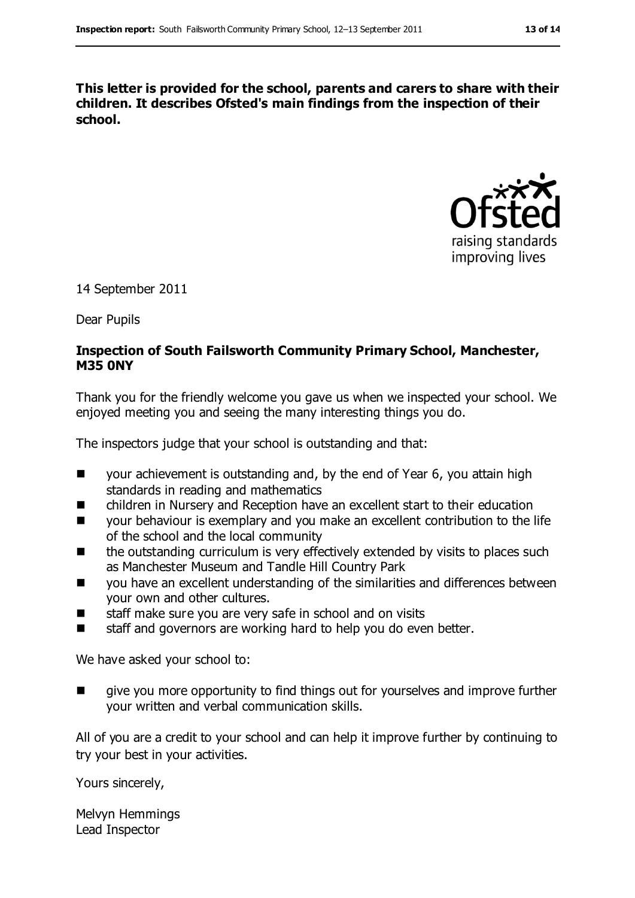**This letter is provided for the school, parents and carers to share with their children. It describes Ofsted's main findings from the inspection of their school.**



14 September 2011

Dear Pupils

#### **Inspection of South Failsworth Community Primary School, Manchester, M35 0NY**

Thank you for the friendly welcome you gave us when we inspected your school. We enjoyed meeting you and seeing the many interesting things you do.

The inspectors judge that your school is outstanding and that:

- your achievement is outstanding and, by the end of Year 6, you attain high standards in reading and mathematics
- children in Nursery and Reception have an excellent start to their education
- **Nota** your behaviour is exemplary and you make an excellent contribution to the life of the school and the local community
- the outstanding curriculum is very effectively extended by visits to places such as Manchester Museum and Tandle Hill Country Park
- you have an excellent understanding of the similarities and differences between your own and other cultures.
- staff make sure you are very safe in school and on visits
- $\blacksquare$  staff and governors are working hard to help you do even better.

We have asked your school to:

 give you more opportunity to find things out for yourselves and improve further your written and verbal communication skills.

All of you are a credit to your school and can help it improve further by continuing to try your best in your activities.

Yours sincerely,

Melvyn Hemmings Lead Inspector